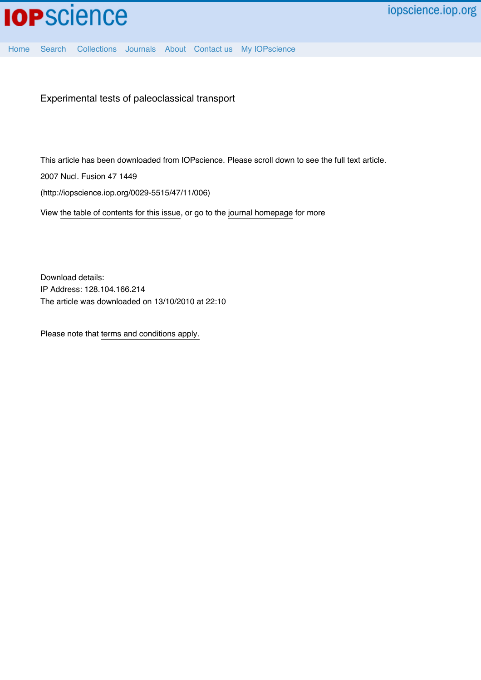

Experimental tests of paleoclassical transport

This article has been downloaded from IOPscience. Please scroll down to see the full text article.

2007 Nucl. Fusion 47 1449

(http://iopscience.iop.org/0029-5515/47/11/006)

View [the table of contents for this issue](http://iopscience.iop.org/0029-5515/47/11), or go to the [journal homepage](http://iopscience.iop.org/0029-5515) for more

Download details: IP Address: 128.104.166.214 The article was downloaded on 13/10/2010 at 22:10

Please note that [terms and conditions apply.](http://iopscience.iop.org/page/terms)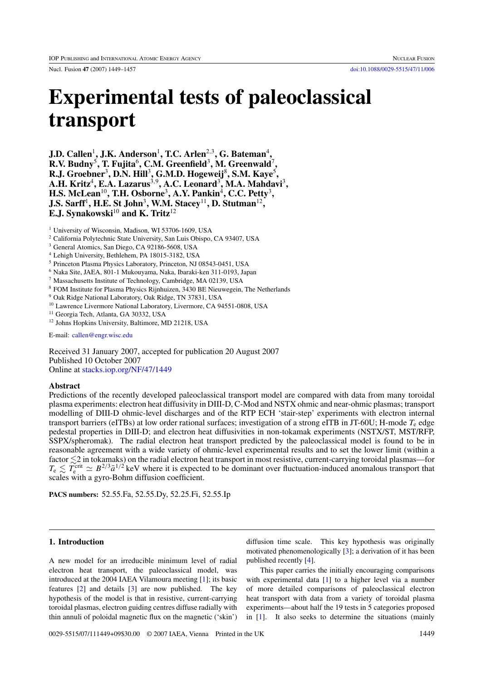Nucl. Fusion **47** (2007) 1449–1457 [doi:10.1088/0029-5515/47/11/006](http://dx.doi.org/10.1088/0029-5515/47/11/006)

# **Experimental tests of paleoclassical transport**

**J.D. Callen**<sup>1</sup>**, J.K. Anderson**<sup>1</sup>**, T.C. Arlen**<sup>2</sup>,<sup>3</sup>**, G. Bateman**<sup>4</sup>**, R.V. Budny**<sup>5</sup>**, T. Fujita**<sup>6</sup>**, C.M. Greenfield**<sup>3</sup>**, M. Greenwald**<sup>7</sup>**, R.J. Groebner**<sup>3</sup>**, D.N. Hill**<sup>3</sup>**, G.M.D. Hogeweij**<sup>8</sup>**, S.M. Kaye**<sup>5</sup>**, A.H. Kritz**<sup>4</sup>**, E.A. Lazarus**<sup>3</sup>,<sup>9</sup>**, A.C. Leonard**<sup>3</sup>**, M.A. Mahdavi**<sup>3</sup>**, H.S. McLean**<sup>10</sup>**, T.H. Osborne**<sup>3</sup>**, A.Y. Pankin**<sup>4</sup>**, C.C. Petty**<sup>3</sup>**, J.S. Sarff**<sup>1</sup>**, H.E. St John**<sup>3</sup>**, W.M. Stacey**<sup>11</sup>**, D. Stutman**<sup>12</sup>**, E.J. Synakowski**<sup>10</sup> **and K. Tritz**<sup>12</sup>

<sup>1</sup> University of Wisconsin, Madison, WI 53706-1609, USA

<sup>2</sup> California Polytechnic State University, San Luis Obispo, CA 93407, USA

<sup>3</sup> General Atomics, San Diego, CA 92186-5608, USA

<sup>4</sup> Lehigh University, Bethlehem, PA 18015-3182, USA

<sup>5</sup> Princeton Plasma Physics Laboratory, Princeton, NJ 08543-0451, USA

<sup>6</sup> Naka Site, JAEA, 801-1 Mukouyama, Naka, Ibaraki-ken 311-0193, Japan

<sup>7</sup> Massachusetts Institute of Technology, Cambridge, MA 02139, USA

<sup>8</sup> FOM Institute for Plasma Physics Rijnhuizen, 3430 BE Nieuwegein, The Netherlands

<sup>9</sup> Oak Ridge National Laboratory, Oak Ridge, TN 37831, USA

<sup>10</sup> Lawrence Livermore National Laboratory, Livermore, CA 94551-0808, USA

<sup>11</sup> Georgia Tech, Atlanta, GA 30332, USA

<sup>12</sup> Johns Hopkins University, Baltimore, MD 21218, USA

E-mail: callen@engr.wisc.edu

Received 31 January 2007, accepted for publication 20 August 2007 Published 10 October 2007 Online at [stacks.iop.org/NF/47/1449](http://stacks.iop.org/nf/47/1449)

#### **Abstract**

Predictions of the recently developed paleoclassical transport model are compared with data from many toroidal plasma experiments: electron heat diffusivity in DIII-D, C-Mod and NSTX ohmic and near-ohmic plasmas; transport modelling of DIII-D ohmic-level discharges and of the RTP ECH 'stair-step' experiments with electron internal transport barriers (eITBs) at low order rational surfaces; investigation of a strong eITB in JT-60U; H-mode  $T<sub>e</sub>$  edge pedestal properties in DIII-D; and electron heat diffusivities in non-tokamak experiments (NSTX/ST, MST/RFP, SSPX/spheromak). The radial electron heat transport predicted by the paleoclassical model is found to be in reasonable agreement with a wide variety of ohmic-level experimental results and to set the lower limit (within a factor  $\leq$  2 in tokamaks) on the radial electron heat transport in most resistive, current-carrying toroidal plasmas—for  $T_{\rm e} \lesssim T_{\rm e}^{\rm crit} \simeq B^{2/3} \bar{a}^{1/2}$  keV where it is expected to be dominant over fluctuation-induced anomalous transport that scales with a gyro-Bohm diffusion coefficient.

**PACS numbers:** 52.55.Fa, 52.55.Dy, 52.25.Fi, 52.55.Ip

# **1. Introduction**

A new model for an irreducible minimum level of radial electron heat transport, the paleoclassical model, was introduced at the 2004 IAEA Vilamoura meeting [\[1\]](#page-8-0); its basic features [\[2\]](#page-8-1) and details [\[3\]](#page-8-2) are now published. The key hypothesis of the model is that in resistive, current-carrying toroidal plasmas, electron guiding centres diffuse radially with thin annuli of poloidal magnetic flux on the magnetic ('skin')

diffusion time scale. This key hypothesis was originally motivated phenomenologically [\[3\]](#page-8-2); a derivation of it has been published recently [\[4\]](#page-8-3).

This paper carries the initially encouraging comparisons with experimental data [\[1\]](#page-8-0) to a higher level via a number of more detailed comparisons of paleoclassical electron heat transport with data from a variety of toroidal plasma experiments—about half the 19 tests in 5 categories proposed in [\[1\]](#page-8-0). It also seeks to determine the situations (mainly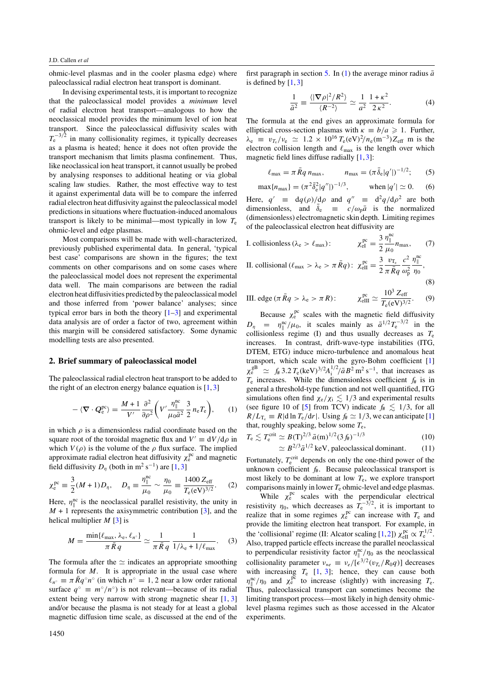ohmic-level plasmas and in the cooler plasma edge) where paleoclassical radial electron heat transport is dominant.

<span id="page-2-2"></span>In devising experimental tests, it is important to recognize that the paleoclassical model provides a *minimum* level of radial electron heat transport—analogous to how the neoclassical model provides the minimum level of ion heat transport. Since the paleoclassical diffusivity scales with  $T_{\rm e}^{-3/2}$  in many collisionality regimes, it typically decreases as a plasma is heated; hence it does not often provide the transport mechanism that limits plasma confinement. Thus, like neoclassical ion heat transport, it cannot usually be probed by analysing responses to additional heating or via global scaling law studies. Rather, the most effective way to test it against experimental data will be to compare the inferred radial electron heat diffusivity against the paleoclassical model predictions in situations where fluctuation-induced anomalous transport is likely to be minimal—most typically in low  $T_e$ ohmic-level and edge plasmas.

Most comparisons will be made with well-characterized, previously published experimental data. In general, 'typical best case' comparisons are shown in the figures; the text comments on other comparisons and on some cases where the paleoclassical model does not represent the experimental data well. The main comparisons are between the radial electron heat diffusivities predicted by the paleoclassical model and those inferred from 'power balance' analyses; since typical error bars in both the theory  $[1-3]$  $[1-3]$  and experimental data analysis are of order a factor of two, agreement within this margin will be considered satisfactory. Some dynamic modelling tests are also presented.

## <span id="page-2-0"></span>**2. Brief summary of paleoclassical model**

The paleoclassical radial electron heat transport to be added to the right of an electron energy balance equation is  $[1, 3]$  $[1, 3]$  $[1, 3]$ 

$$
-\langle \nabla \cdot Q_{\rm e}^{\rm pc} \rangle = \frac{M+1}{V'} \frac{\partial^2}{\partial \rho^2} \left( V' \frac{\eta_{\parallel}^{\rm nc}}{\mu_0 \bar{a}^2} \frac{3}{2} n_{\rm e} T_{\rm e} \right), \qquad (1)
$$

in which  $\rho$  is a dimensionless radial coordinate based on the square root of the toroidal magnetic flux and  $V' \equiv dV/d\rho$  in which  $V(\rho)$  is the volume of the  $\rho$  flux surface. The implied approximate radial electron heat diffusivity  $\chi_e^{pc}$  and magnetic field diffusivity  $D_n$  (both in m<sup>2</sup> s<sup>-1</sup>) are [\[1,](#page-8-0)[3\]](#page-8-2)

$$
\chi_{\rm e}^{\rm pc} \equiv \frac{3}{2}(M+1)D_{\eta}, \quad D_{\eta} \equiv \frac{\eta_{\parallel}^{\rm nc}}{\mu_0} \sim \frac{\eta_0}{\mu_0} \equiv \frac{1400 \, Z_{\rm eff}}{T_{\rm e}({\rm eV})^{3/2}}.\tag{2}
$$

<span id="page-2-1"></span>Here,  $\eta_{\parallel}^{\text{nc}}$  is the neoclassical parallel resistivity, the unity in  $M + 1$  represents the axisymmetric contribution [\[3\]](#page-8-2), and the helical multiplier  $M$  [\[3\]](#page-8-2) is

$$
M = \frac{\min\{\ell_{\max}, \lambda_{\rm e}, \ell_{n^{\circ}}\}}{\pi \bar{R} q} \simeq \frac{1}{\pi \bar{R} q} \frac{1}{1/\lambda_{\rm e} + 1/\ell_{\max}}.
$$
 (3)

The formula after the  $\simeq$  indicates an appropriate smoothing formula for  $M$ . It is appropriate in the usual case where  $\ell_{n} \equiv \pi \bar{R} q^{\circ} n^{\circ}$  (in which  $n^{\circ} = 1, 2$  near a low order rational surface  $q^\circ \equiv m^\circ/n^\circ$  is not relevant—because of its radial extent being very narrow with strong magnetic shear [\[1,](#page-8-0) [3\]](#page-8-2) and/or because the plasma is not steady for at least a global magnetic diffusion time scale, as discussed at the end of the first paragraph in section [5.](#page-4-0) In [\(1\)](#page-2-0) the average minor radius  $\bar{a}$ is defined by  $[1, 3]$  $[1, 3]$  $[1, 3]$ 

$$
\frac{1}{\bar{a}^2} \equiv \frac{\langle |\nabla \rho|^2 / R^2 \rangle}{\langle R^{-2} \rangle} \simeq \frac{1}{a^2} \frac{1 + \kappa^2}{2 \kappa^2}.
$$
 (4)

The formula at the end gives an approximate formula for elliptical cross-section plasmas with  $\kappa = b/a \ge 1$ . Further,  $\lambda_e \equiv v_{T_e}/v_e \simeq 1.2 \times 10^{16} T_e (eV)^2/n_e (m^{-3}) Z_{eff}$  m is the electron collision length and  $\ell_{\text{max}}$  is the length over which magnetic field lines diffuse radially  $[1, 3]$  $[1, 3]$  $[1, 3]$ :

$$
\ell_{\max} = \pi \,\bar{R} q \, n_{\max}, \qquad n_{\max} = (\pi \,\bar{\delta}_e |q'|)^{-1/2}; \qquad (5)
$$

$$
\max\{n_{\max}\} = (\pi^2 \bar{\delta}_e^2 |q''|)^{-1/3}, \quad \text{when } |q'| \simeq 0. \quad (6)
$$

Here,  $q' \equiv dq(\rho)/d\rho$  and  $q'' \equiv d^2q/d\rho^2$  are both dimensionless, and  $\bar{\delta}_e \equiv c/\omega_p \bar{a}$  is the normalized (dimensionless) electromagnetic skin depth. Limiting regimes of the paleoclassical electron heat diffusivity are

I. collisionless (
$$
\lambda_e > \ell_{max}
$$
):  
\n
$$
\chi_{eI}^{pc} = \frac{3}{2} \frac{\eta_{\parallel}^{nc}}{\mu_0} n_{max}, \qquad (7)
$$
\nII, collisionless ( $\ell_{\parallel} > \ell_{\perp}$ )  $\chi_{\parallel} = \bar{p}_{\perp} \gamma_{\perp}$ ,  $\mu_{\parallel}^{pc} = \frac{3}{2} \frac{v_{\perp}}{v_{\perp}} e^2 \eta_{\parallel}^{nc}$ 

II. collisional 
$$
(\ell_{\text{max}} > \lambda_e > \pi \bar{Rq})
$$
:  $\chi_{\text{eff}}^{\text{pc}} = \frac{3}{2} \frac{\nu_{\text{T}_e}}{\pi \bar{Rq}} \frac{c^2}{\omega_p^2} \frac{\eta_{\parallel}^{\text{nc}}}{\eta_0}$ ,

$$
(8)
$$

III. edge 
$$
(\pi \bar{R}q > \lambda_e > \pi R)
$$
:  $\chi_{\text{eIII}}^{\text{pc}} \simeq \frac{10^3 Z_{\text{eff}}}{T_{\text{e}} (\text{eV})^{3/2}}$ . (9)

Because  $\chi_e^{pc}$  scales with the magnetic field diffusivity  $D_{\eta}$  =  $\eta_{\parallel}^{\text{nc}}/\mu_0$ , it scales mainly as  $\bar{a}^{1/2}T_{\text{e}}^{-3/2}$  in the collisionless regime (I) and thus usually decreases as  $T_e$ increases. In contrast, drift-wave-type instabilities (ITG, DTEM, ETG) induce micro-turbulence and anomalous heat transport, which scale with the gyro-Bohm coefficient [\[1\]](#page-8-0)  $\chi_{\rm e}^{\rm gB} \simeq f_{\rm H} 3.2 T_{\rm e} (\rm keV)^{3/2} A_{\rm i}^{1/2} / \bar{a} B^2 \rm m^2 \rm \, s^{-1},$  that increases as  $T_e$  increases. While the dimensionless coefficient  $f_{\#}$  is in general a threshold-type function and not well quantified, ITG simulations often find  $\chi_e/\chi_i \lesssim 1/3$  and experimental results (see figure 10 of [\[5\]](#page-8-4) from TCV) indicate  $f_{\#} \lesssim 1/3$ , for all  $R/L_{\text{T}_e} \equiv R \, |\text{d} \ln T_e/dr|$ . Using  $f_{\text{#}} \simeq 1/3$ , we can anticipate [\[1\]](#page-8-0) that, roughly speaking, below some  $T_e$ ,

$$
T_{\rm e} \lesssim T_{\rm e}^{\rm crit} \simeq B(T)^{2/3} \bar{a} \, (\text{m})^{1/2} (3 \, f_{\#})^{-1/3} \tag{10}
$$

$$
\simeq B^{2/3} \bar{a}^{1/2} \, \text{keV, paleoclassical dominant.} \tag{11}
$$

Fortunately,  $T_{\rm e}^{\rm crit}$  depends on only the one-third power of the unknown coefficient  $f_{\#}$ . Because paleoclassical transport is most likely to be dominant at low  $T_e$ , we explore transport comparisons mainly in lower  $T_e$  ohmic-level and edge plasmas.

While  $\chi_e^{pc}$  scales with the perpendicular electrical resistivity  $\eta_0$ , which decreases as  $T_e^{-3/2}$ , it is important to realize that in some regimes  $\chi_e^{pc}$  can increase with  $T_e$  and provide the limiting electron heat transport. For example, in the 'collisional' regime (II: Alcator scaling [\[1,](#page-8-0)[2\]](#page-8-1))  $\chi_{\text{eII}}^{\text{pc}} \propto T_{\text{e}}^{1/2}$ . Also, trapped particle effects increase the parallel neoclassical to perpendicular resistivity factor  $\eta_{\parallel}^{\text{nc}}/\eta_0$  as the neoclassical collisionality parameter  $v_{*e} \equiv v_e/[\epsilon^{3/2}(v_{T_e}/R_0q)]$  decreases with increasing  $T_e$  [\[1,](#page-8-0) [3\]](#page-8-2); hence, they can cause both  $\eta_{\text{1}}^{\text{nc}}/\eta_0$  and  $\chi_{\text{e}}^{\text{pc}}$  to increase (slightly) with increasing  $T_{\text{e}}$ . Thus, paleoclassical transport can sometimes become the limiting transport process—most likely in high density ohmiclevel plasma regimes such as those accessed in the Alcator experiments.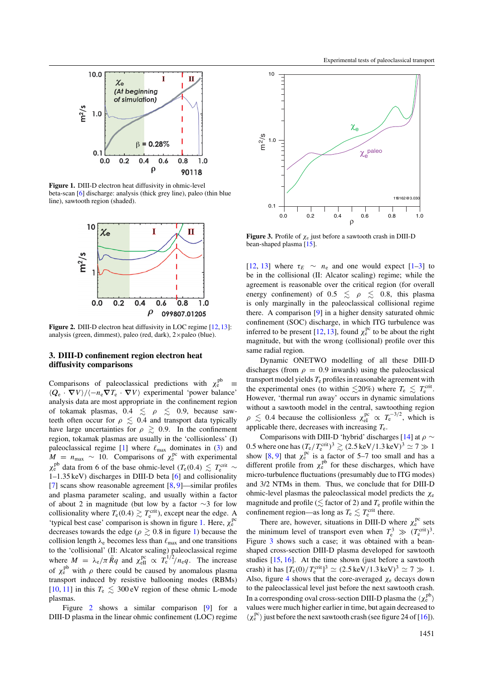<span id="page-3-0"></span>

<span id="page-3-1"></span>**Figure 1.** DIII-D electron heat diffusivity in ohmic-level beta-scan [\[6\]](#page-8-5) discharge: analysis (thick grey line), paleo (thin blue line), sawtooth region (shaded).



**Figure 2.** DIII-D electron heat diffusivity in LOC regime [\[12,](#page-8-6) [13\]](#page-8-7): analysis (green, dimmest), paleo (red, dark), 2×paleo (blue).

#### **3. DIII-D confinement region electron heat diffusivity comparisons**

Comparisons of paleoclassical predictions with  $\chi_e^{pb}$ e ≡  $\langle Q_e \cdot \nabla V \rangle / \langle -n_e \nabla T_e \cdot \nabla V \rangle$  experimental 'power balance' analysis data are most appropriate in the confinement region of tokamak plasmas,  $0.4 \leq \rho \leq 0.9$ , because sawteeth often occur for  $\rho \lesssim 0.4$  and transport data typically have large uncertainties for  $\rho \geq 0.9$ . In the confinement region, tokamak plasmas are usually in the 'collisionless' (I) paleoclassical regime [\[1\]](#page-8-0) where  $\ell_{\text{max}}$  dominates in [\(3\)](#page-2-1) and  $M = n_{\text{max}} \sim 10$ . Comparisons of  $\chi_e^{\text{pc}}$  with experimental  $\chi_e^{pb}$  data from 6 of the base ohmic-level ( $T_e(0.4) \lesssim T_e^{\text{crit}} \sim$ 1–1.35 keV) discharges in DIII-D beta [\[6\]](#page-8-5) and collisionality [\[7\]](#page-8-8) scans show reasonable agreement [\[8,](#page-8-9) [9\]](#page-8-10)—similar profiles and plasma parameter scaling, and usually within a factor of about 2 in magnitude (but low by a factor ∼3 for low collisionality where  $T_e(0.4) \gtrsim T_e^{\text{crit}}$ , except near the edge. A 'typical best case' comparison is shown in figure [1.](#page-3-0) Here,  $\chi_e^{pc}$ decreases towards the edge ( $\rho \gtrsim 0.8$  in figure [1\)](#page-3-0) because the collision length  $\lambda_e$  becomes less than  $\ell_{\text{max}}$  and one transitions to the 'collisional' (II: Alcator scaling) paleoclassical regime where  $M = \lambda_e / \pi \bar{R}q$  and  $\chi_{\text{eff}}^{\text{pc}} \propto T_e^{1/2} / n_e q$ . The increase of  $\chi_e^{pb}$  with  $\rho$  there could be caused by anomalous plasma transport induced by resistive ballooning modes (RBMs) [\[10,](#page-8-11) [11\]](#page-8-12) in this  $T_e \leq 300 \text{ eV}$  region of these ohmic L-mode plasmas.

Figure [2](#page-3-1) shows a similar comparison [\[9\]](#page-8-10) for a DIII-D plasma in the linear ohmic confinement (LOC) regime



**Figure 3.** Profile of  $\chi_e$  just before a sawtooth crash in DIII-D bean-shaped plasma [\[15\]](#page-8-13).

[\[12,](#page-8-6) [13\]](#page-8-7) where  $\tau_E \sim n_e$  and one would expect [\[1–](#page-8-0)[3\]](#page-8-2) to be in the collisional (II: Alcator scaling) regime; while the agreement is reasonable over the critical region (for overall energy confinement) of  $0.5 \leq \rho \leq 0.8$ , this plasma is only marginally in the paleoclassical collisional regime there. A comparison [\[9\]](#page-8-10) in a higher density saturated ohmic confinement (SOC) discharge, in which ITG turbulence was inferred to be present [\[12,](#page-8-6) [13\]](#page-8-7), found  $\chi_e^{pc}$  to be about the right magnitude, but with the wrong (collisional) profile over this same radial region.

Dynamic ONETWO modelling of all these DIII-D discharges (from  $\rho = 0.9$  inwards) using the paleoclassical transport model yields  $T_e$  profiles in reasonable agreement with the experimental ones (to within  $\lesssim$  20%) where  $T_e \lesssim T_e^{\text{crit}}$ . However, 'thermal run away' occurs in dynamic simulations without a sawtooth model in the central, sawtoothing region  $\rho \lesssim 0.4$  because the collisionless  $\chi_{\rm eI}^{\rm pc} \propto T_{\rm e}^{-3/2}$ , which is applicable there, decreases with increasing  $T_e$ .

Comparisons with DIII-D 'hybrid' discharges [\[14\]](#page-8-14) at  $\rho \sim$ 0.5 where one has  $(T_e/T_e^{\text{crit}})^3 \gtrsim (2.5 \,\text{keV}/1.3 \,\text{keV})^3 \simeq 7 \gg 1$ show [\[8,](#page-8-9) [9\]](#page-8-10) that  $\chi_e^{pc}$  is a factor of 5–7 too small and has a different profile from  $\chi_e^{pb}$  for these discharges, which have micro-turbulence fluctuations (presumably due to ITG modes) and 3/2 NTMs in them. Thus, we conclude that for DIII-D ohmic-level plasmas the paleoclassical model predicts the  $\chi_e$ magnitude and profile ( $\lesssim$  factor of 2) and  $T_e$  profile within the confinement region—as long as  $T_e \lesssim T_e^{\text{crit}}$  there.

There are, however, situations in DIII-D where  $\chi_e^{pc}$  sets the minimum level of transport even when  $T_e^3 \gg (T_e^{\text{crit}})^3$ . Figure [3](#page-3-0) shows such a case; it was obtained with a beanshaped cross-section DIII-D plasma developed for sawtooth studies [\[15,](#page-8-13) [16\]](#page-8-15). At the time shown (just before a sawtooth crash) it has  $[T_e(0)/T_e^{\text{crit}}]^3 \simeq (2.5 \,\text{keV}/1.3 \,\text{keV})^3 \simeq 7 \gg 1.$ Also, figure [4](#page-4-1) shows that the core-averaged  $\chi_e$  decays down to the paleoclassical level just before the next sawtooth crash. In a corresponding oval cross-section DIII-D plasma the  $\langle \chi_{e}^{pb} \rangle$ values were much higher earlier in time, but again decreased to  $\langle \chi_{e}^{pc} \rangle$  just before the next sawtooth crash (see figure 24 of [\[16\]](#page-8-15)).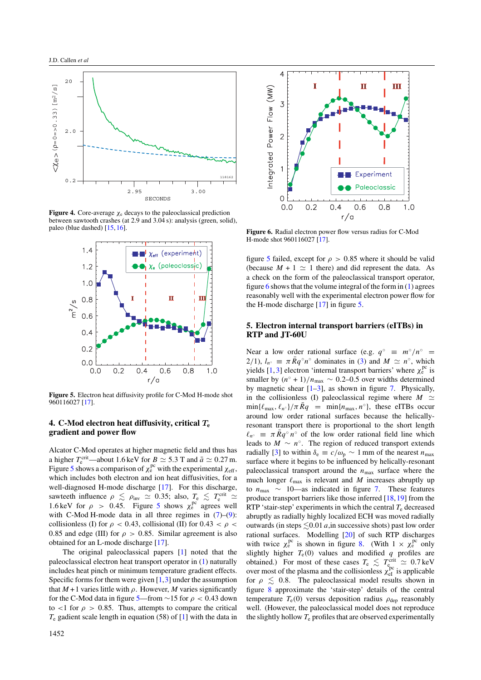<span id="page-4-1"></span>

<span id="page-4-2"></span>**Figure 4.** Core-average  $\chi_e$  decays to the paleoclassical prediction between sawtooth crashes (at 2.9 and 3.04 s): analysis (green, solid), paleo (blue dashed) [\[15,](#page-8-13) [16\]](#page-8-15).

<span id="page-4-0"></span>

**Figure 5.** Electron heat diffusivity profile for C-Mod H-mode shot 960116027 [\[17\]](#page-8-16).

# **4. C-Mod electron heat diffusivity, critical** T**<sup>e</sup> gradient and power flow**

Alcator C-Mod operates at higher magnetic field and thus has a higher  $T_{\rm e}^{\rm crit}$ —about 1.6 keV for  $B \simeq 5.3$  T and  $\bar{a} \simeq 0.27$  m. Figure [5](#page-4-2) shows a comparison of  $\chi_e^{pc}$  with the experimental  $\chi_{eff}$ , which includes both electron and ion heat diffusivities, for a well-diagnosed H-mode discharge [\[17\]](#page-8-16). For this discharge, sawteeth influence  $\rho \lesssim \rho_{\text{inv}} \simeq 0.35$  $\rho \lesssim \rho_{\text{inv}} \simeq 0.35$ ; also,  $T_e \lesssim T_e^{\text{crit}} \simeq 1.6 \,\text{keV}$  for  $\rho > 0.45$ . Figure 5 shows  $\chi_e^{\text{pc}}$  agrees well with C-Mod H-mode data in all three regimes in  $(7)-(9)$  $(7)-(9)$  $(7)-(9)$ : collisionless (I) for  $\rho < 0.43$ , collisional (II) for  $0.43 < \rho <$ 0.85 and edge (III) for  $\rho > 0.85$ . Similar agreement is also obtained for an L-mode discharge [\[17\]](#page-8-16).

The original paleoclassical papers [\[1\]](#page-8-0) noted that the paleoclassical electron heat transport operator in [\(1\)](#page-2-0) naturally includes heat pinch or minimum temperature gradient effects. Specific forms for them were given  $[1,3]$  $[1,3]$  under the assumption that  $M + 1$  varies little with  $\rho$ . However, M varies significantly for the C-Mod data in figure [5—](#page-4-2)from ∼15 for  $\rho < 0.43$  down to  $\langle 1 \rangle$  for  $\rho > 0.85$ . Thus, attempts to compare the critical  $T_e$  gadient scale length in equation (58) of [\[1\]](#page-8-0) with the data in



**Figure 6.** Radial electron power flow versus radius for C-Mod H-mode shot 960116027 [\[17\]](#page-8-16).

figure [5](#page-4-2) failed, except for  $\rho > 0.85$  where it should be valid (because  $M + 1 \simeq 1$  there) and did represent the data. As a check on the form of the paleoclassical transport operator, figure [6](#page-4-1) shows that the volume integral of the form in  $(1)$  agrees reasonably well with the experimental electron power flow for the H-mode discharge [\[17\]](#page-8-16) in figure [5.](#page-4-2)

#### **5. Electron internal transport barriers (eITBs) in RTP and JT-60U**

Near a low order rational surface (e.g.  $q^\circ \equiv m^\circ/n^\circ$ ) 2/1),  $l_{n}$ <sup>°</sup>  $\equiv \pi \bar{R}q^{\circ}n^{\circ}$  dominates in [\(3\)](#page-2-1) and  $M \simeq n^{\circ}$ , which yields [\[1,](#page-8-0)[3\]](#page-8-2) electron 'internal transport barriers' where  $\chi_e^{pc}$  is smaller by  $(n<sup>°</sup> + 1)/n<sub>max</sub> ~ 0.2–0.5$  over widths determined by magnetic shear  $[1-3]$  $[1-3]$ , as shown in figure [7.](#page-5-0) Physically, in the collisionless (I) paleoclassical regime where  $M \simeq$  $\min\{\ell_{\max}, \ell_{n} \cdot\}/\pi R q = \min\{n_{\max}, n^{\circ}\}\$ , these eITBs occur around low order rational surfaces because the helicallyresonant transport there is proportional to the short length  $\ell_{n}$ <sup>°</sup>  $\equiv \pi \bar{R}q^{\circ} n^{\circ}$  of the low order rational field line which leads to  $M \sim n^\circ$ . The region of reduced transport extends radially [\[3\]](#page-8-2) to within  $\delta_e \equiv c/\omega_p \sim 1$  mm of the nearest  $n_{\text{max}}$ surface where it begins to be influenced by helically-resonant paleoclassical transport around the  $n_{\text{max}}$  surface where the much longer  $\ell_{\text{max}}$  is relevant and M increases abruptly up to  $n_{\text{max}} \sim 10$ —as indicated in figure [7.](#page-5-0) These features produce transport barriers like those inferred  $[18, 19]$  $[18, 19]$  $[18, 19]$  from the RTP 'stair-step' experiments in which the central  $T_e$  decreased abruptly as radially highly localized ECH was moved radially outwards (in steps  $\leq 0.01$  a,in successive shots) past low order rational surfaces. Modelling [\[20\]](#page-8-19) of such RTP discharges with twice  $\chi_e^{pc}$  is shown in figure [8.](#page-5-1) (With  $1 \times \chi_e^{pc}$  only slightly higher  $T_e(0)$  values and modified q profiles are obtained.) For most of these cases  $T_e \lesssim T_{e_{\text{rec}}}^{\text{crit}} \simeq 0.7 \text{ keV}$ over most of the plasma and the collisionless  $\chi_{\text{eI}}^{\text{pc}}$  is applicable for  $\rho \leq 0.8$ . The paleoclassical model results shown in figure [8](#page-5-1) approximate the 'stair-step' details of the central temperature  $T_e(0)$  versus deposition radius  $\rho_{dep}$  reasonably well. (However, the paleoclassical model does not reproduce the slightly hollow  $T_e$  profiles that are observed experimentally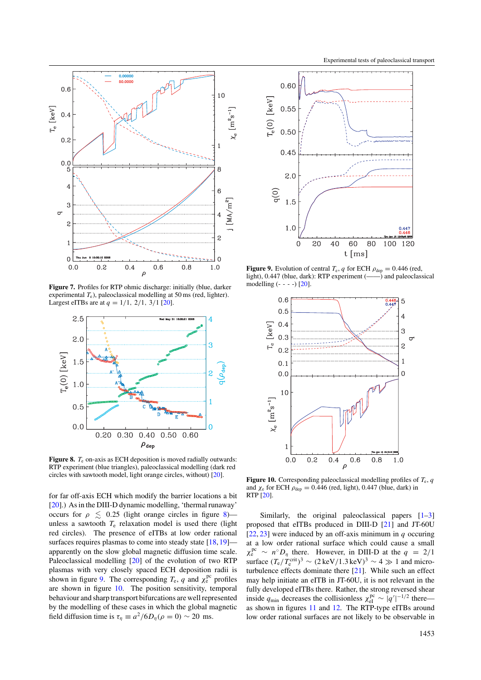<span id="page-5-0"></span>

<span id="page-5-2"></span><span id="page-5-1"></span>**Figure 7.** Profiles for RTP ohmic discharge: initially (blue, darker experimental  $T_e$ ), paleoclassical modelling at 50 ms (red, lighter). Largest eITBs are at  $q = 1/1, 2/1, 3/1$  [\[20\]](#page-8-19).



**Figure 8.**  $T_e$  on-axis as ECH deposition is moved radially outwards: RTP experiment (blue triangles), paleoclassical modelling (dark red circles with sawtooth model, light orange circles, without) [\[20\]](#page-8-19).

for far off-axis ECH which modify the barrier locations a bit [\[20\]](#page-8-19).) As in the DIII-D dynamic modelling, 'thermal runaway' occurs for  $\rho \le 0.25$  (light orange circles in figure [8\)](#page-5-1) unless a sawtooth  $T<sub>e</sub>$  relaxation model is used there (light red circles). The presence of eITBs at low order rational surfaces requires plasmas to come into steady state [\[18,](#page-8-17) [19\]](#page-8-18)apparently on the slow global magnetic diffusion time scale. Paleoclassical modelling [\[20\]](#page-8-19) of the evolution of two RTP plasmas with very closely spaced ECH deposition radii is shown in figure [9.](#page-5-0) The corresponding  $T_e$ , q and  $\chi_e^{pc}$  profiles are shown in figure [10.](#page-5-2) The position sensitivity, temporal behaviour and sharp transport bifurcations are well represented by the modelling of these cases in which the global magnetic field diffusion time is  $\tau_{\eta} \equiv a^2/6D_{\eta}(\rho = 0) \sim 20$  ms.



**Figure 9.** Evolution of central  $T_e$ , q for ECH  $\rho_{\text{dep}} = 0.446$  (red, light), 0.447 (blue, dark): RTP experiment (——) and paleoclassical modelling (- - - -) [\[20\]](#page-8-19).



**Figure 10.** Corresponding paleoclassical modelling profiles of  $T_e$ ,  $q$ and  $\chi_e$  for ECH  $\rho_{\text{dep}} = 0.446$  (red, light), 0.447 (blue, dark) in RTP [\[20\]](#page-8-19).

Similarly, the original paleoclassical papers [\[1–](#page-8-0)[3\]](#page-8-2) proposed that eITBs produced in DIII-D [\[21\]](#page-9-0) and JT-60U [\[22,](#page-9-1) [23\]](#page-9-2) were induced by an off-axis minimum in  $q$  occuring at a low order rational surface which could cause a small  $\chi_e^{pc} \sim n^{\circ} D_{\eta}$  there. However, in DIII-D at the  $q = 2/1$ surface  $(T_e/T_e^{\text{crit}})^3 \sim (2 \text{ keV}/1.3 \text{ keV})^3 \sim 4 \gg 1$  and micro-turbulence effects dominate there [\[21\]](#page-9-0). While such an effect may help initiate an eITB in JT-60U, it is not relevant in the fully developed eITBs there. Rather, the strong reversed shear inside  $q_{\text{min}}$  decreases the collisionless  $\chi_{\text{eI}}^{\text{pc}} \sim |q'|^{-1/2}$  there as shown in figures [11](#page-6-0) and [12.](#page-6-1) The RTP-type eITBs around low order rational surfaces are not likely to be observable in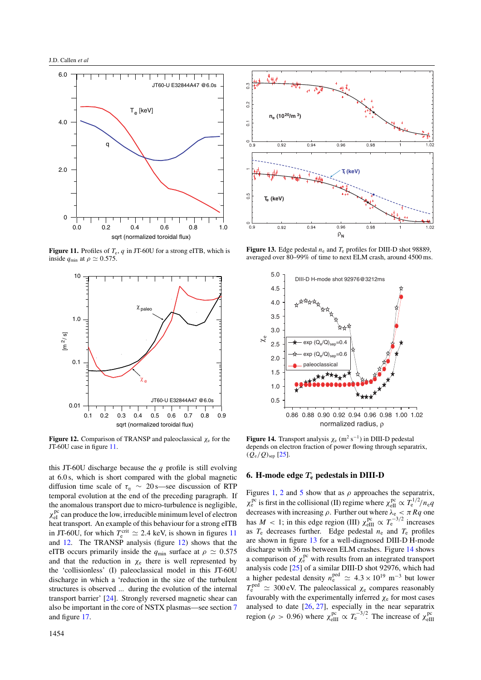<span id="page-6-0"></span>

<span id="page-6-2"></span><span id="page-6-1"></span>**Figure 11.** Profiles of  $T_e$ , q in JT-60U for a strong eITB, which is inside  $q_{\text{min}}$  at  $\rho \simeq 0.575$ .



**Figure 12.** Comparison of TRANSP and paleoclassical  $\chi_e$  for the JT-60U case in figure [11.](#page-6-0)

this JT-60U discharge because the  $q$  profile is still evolving at 6.0 s, which is short compared with the global magnetic diffusion time scale of  $\tau_n \sim 20$  s—see discussion of RTP temporal evolution at the end of the preceding paragraph. If the anomalous transport due to micro-turbulence is negligible,  $\chi_{\rm eI}^{\rm pc}$  can produce the low, irreducible minimum level of electron heat transport. An example of this behaviour for a strong eITB in JT-60U, for which  $T_{\rm e}^{\rm crit} \simeq 2.4$  keV, is shown in figures [11](#page-6-0) and [12.](#page-6-1) The TRANSP analysis (figure [12\)](#page-6-1) shows that the eITB occurs primarily inside the  $q_{\text{min}}$  surface at  $\rho \simeq 0.575$ and that the reduction in  $\chi_e$  there is well represented by the 'collisionless' (I) paleoclassical model in this JT-60U discharge in which a 'reduction in the size of the turbulent structures is observed ... during the evolution of the internal transport barrier' [\[24\]](#page-9-3). Strongly reversed magnetic shear can also be important in the core of NSTX plasmas—see section [7](#page-7-0) and figure [17.](#page-7-1)



**Figure 13.** Edge pedestal  $n_e$  and  $T_e$  profiles for DIII-D shot 98889, averaged over 80–99% of time to next ELM crash, around 4500 ms.



**Figure 14.** Transport analysis  $\chi_e$  (m<sup>2</sup> s<sup>-1</sup>) in DIII-D pedestal depends on electron fraction of power flowing through separatrix,  $(Q_e/Q)_{sep}$  [\[25\]](#page-9-4).

#### **6. H-mode edge** T**<sup>e</sup> pedestals in DIII-D**

Figures [1,](#page-3-0) [2](#page-3-1) and [5](#page-4-2) show that as  $\rho$  approaches the separatrix,  $\chi_{\rm e}^{\rm pc}$  is first in the collisional (II) regime where  $\chi_{\rm eII}^{\rm pc} \propto T_{\rm e}^{1/2}/n_{\rm e}q$ decreases with increasing  $\rho$ . Further out where  $\lambda_e < \pi Rq$  one has  $M < 1$ ; in this edge region (III)  $\chi_{\text{eIII}}^{\text{pc}} \propto T_{\text{e}}^{-3/2}$  increases as  $T_e$  decreases further. Edge pedestal  $n_e$  and  $T_e$  profiles are shown in figure [13](#page-6-0) for a well-diagnosed DIII-D H-mode discharge with 36 ms between ELM crashes. Figure [14](#page-6-2) shows a comparison of  $\chi_{e}^{pc}$  with results from an integrated transport analysis code [\[25\]](#page-9-4) of a similar DIII-D shot 92976, which had a higher pedestal density  $n_e^{\text{ped}} \simeq 4.3 \times 10^{19} \text{ m}^{-3}$  but lower  $T_{\rm e}^{\rm ped} \simeq 300 \, \rm eV$ . The paleoclassical  $\chi_{\rm e}$  compares reasonably favourably with the experimentally inferred  $\chi_e$  for most cases analysed to date  $[26, 27]$  $[26, 27]$  $[26, 27]$ , especially in the near separatrix region ( $\rho > 0.96$ ) where  $\chi_{\text{eIII}}^{\text{pc}} \propto T_{\text{e}}^{-3/2}$ . The increase of  $\chi_{\text{eIII}}^{\text{pc}}$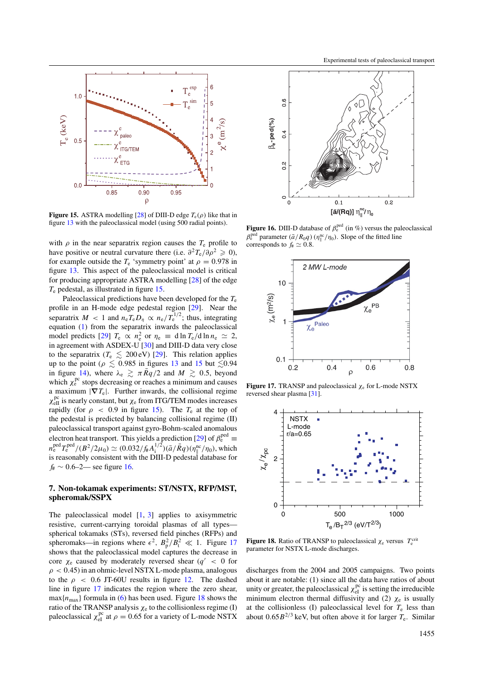<span id="page-7-2"></span>

<span id="page-7-1"></span>**Figure 15.** ASTRA modelling [\[28\]](#page-9-7) of DIII-D edge  $T_e(\rho)$  like that in figure [13](#page-6-0) with the paleoclassical model (using 500 radial points).

with  $\rho$  in the near separatrix region causes the  $T_e$  profile to have positive or neutral curvature there (i.e.  $\partial^2 T_e / \partial \rho^2 \geq 0$ ), for example outside the  $T_e$  'symmetry point' at  $\rho = 0.978$  in figure [13.](#page-6-0) This aspect of the paleoclassical model is critical for producing appropriate ASTRA modelling [\[28\]](#page-9-7) of the edge  $T_e$  pedestal, as illustrated in figure [15.](#page-7-2)

<span id="page-7-3"></span>Paleoclassical predictions have been developed for the  $T_e$ profile in an H-mode edge pedestal region [\[29\]](#page-9-8). Near the separatrix  $M < 1$  and  $n_eT_eD_\eta \propto n_e/T_e^{1/2}$ ; thus, integrating equation [\(1\)](#page-2-0) from the separatrix inwards the paleoclassical model predicts [\[29\]](#page-9-8)  $T_e \propto n_e^2$  or  $\eta_e \equiv d \ln T_e / d \ln n_e \simeq 2$ , in agreement with ASDEX-U [\[30\]](#page-9-3) and DIII-D data very close to the separatrix ( $T_e \leq 200 \text{ eV}$ ) [\[29\]](#page-9-8). This relation applies up to the point ( $\rho \lesssim 0.985$  in figures [13](#page-6-0) and [15](#page-7-2) but  $\lesssim 0.94$ in figure [14\)](#page-6-2), where  $\lambda_e \gtrsim \pi \bar{R}q/2$  and  $M \gtrsim 0.5$ , beyond which  $\chi_e^{\rm pc}$  stops decreasing or reaches a minimum and causes a maximum  $|\nabla T_e|$ . Further inwards, the collisional regime  $\chi_{\text{eII}}^{\text{pc}}$  is nearly constant, but  $\chi_{\text{e}}$  from ITG/TEM modes increases rapidly (for  $\rho \, < \, 0.9$  in figure [15\)](#page-7-2). The  $T_e$  at the top of the pedestal is predicted by balancing collisional regime (II) paleoclassical transport against gyro-Bohm-scaled anomalous electron heat transport. This yields a prediction [\[29\]](#page-9-8) of  $\beta_e^{\text{ped}} \equiv$  $n_{\rm e}^{\rm ped} T_{\rm e}^{\rm ped} / (B^2/2\mu_0) \simeq (0.032/f_{\rm H} A_1^{1/2}) (\bar{a}/\bar{R}q) (\eta_{\parallel}^{\rm nc}/\eta_0)$ , which is reasonably consistent with the DIII-D pedestal database for  $f_{#} \sim 0.6{\text -}2$ — see figure [16.](#page-7-2)

## <span id="page-7-0"></span>**7. Non-tokamak experiments: ST/NSTX, RFP/MST, spheromak/SSPX**

The paleoclassical model  $[1, 3]$  $[1, 3]$  $[1, 3]$  applies to axisymmetric resistive, current-carrying toroidal plasmas of all types spherical tokamaks (STs), reversed field pinches (RFPs) and spheromaks—in regions where  $\epsilon^2$ ,  $B_p^2 / B_t^2 \ll 1$ . Figure [17](#page-7-1) shows that the paleoclassical model captures the decrease in core  $\chi_e$  caused by moderately reversed shear ( $q' < 0$  for  $\rho < 0.45$ ) in an ohmic-level NSTX L-mode plasma, analogous to the  $\rho$  < 0.6 JT-60U results in figure [12.](#page-6-1) The dashed line in figure [17](#page-7-1) indicates the region where the zero shear,  $max\{n_{\text{max}}\}$  formula in [\(6\)](#page-2-2) has been used. Figure [18](#page-7-3) shows the ratio of the TRANSP analysis  $\chi_e$  to the collisionless regime (I) paleoclassical  $\chi_{\text{eI}}^{\text{pc}}$  at  $\rho = 0.65$  for a variety of L-mode NSTX



**Figure 16.** DIII-D database of  $\beta_{e}^{ped}$  (in %) versus the paleoclassical  $\beta_e^{\text{ped}}$  parameter  $(\bar{a}/R_0q)(\eta_{\parallel}^{\text{nc}}/\eta_0)$ . Slope of the fitted line corresponds to  $f_{\text{#}} \simeq 0.8$ .



**Figure 17.** TRANSP and paleoclassical  $\chi_e$  for L-mode NSTX reversed shear plasma [\[31\]](#page-9-9).



**Figure 18.** Ratio of TRANSP to paleoclassical  $\chi_e$  versus  $T_e^{\text{crit}}$ parameter for NSTX L-mode discharges.

discharges from the 2004 and 2005 campaigns. Two points about it are notable: (1) since all the data have ratios of about unity or greater, the paleoclassical  $\chi_{\text{eI}}^{\text{pc}}$  is setting the irreducible minimum electron thermal diffusivity and (2)  $\chi_e$  is usually at the collisionless (I) paleoclassical level for  $T_e$  less than about 0.65 $B^{2/3}$  keV, but often above it for larger  $T_e$ . Similar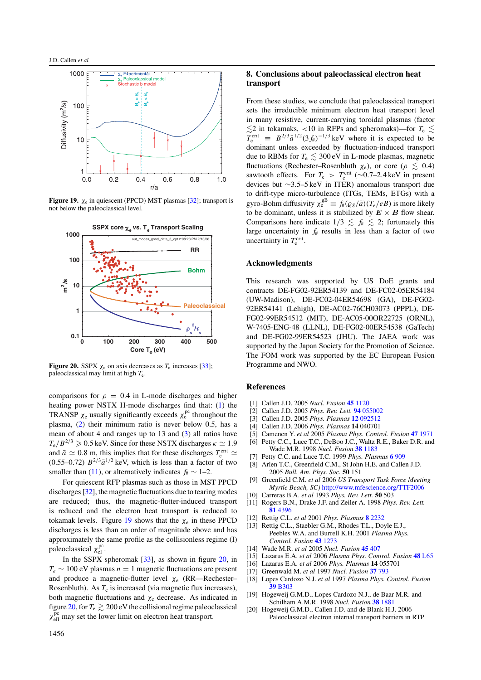<span id="page-8-20"></span>

<span id="page-8-21"></span>**Figure 19.**  $\chi_e$  in quiescent (PPCD) MST plasmas [\[32\]](#page-9-10); transport is not below the paleoclassical level.



<span id="page-8-3"></span><span id="page-8-2"></span><span id="page-8-1"></span><span id="page-8-0"></span>**Figure 20.** SSPX  $\chi_e$  on axis decreases as  $T_e$  increases [\[33\]](#page-9-11); paleoclassical may limit at high  $T_e$ .

<span id="page-8-10"></span><span id="page-8-9"></span><span id="page-8-8"></span><span id="page-8-5"></span><span id="page-8-4"></span>comparisons for  $\rho = 0.4$  in L-mode discharges and higher heating power NSTX H-mode discharges find that: [\(1\)](#page-2-0) the TRANSP  $\chi_e$  usually significantly exceeds  $\chi_e^{pc}$  throughout the plasma, [\(2\)](#page-2-0) their minimum ratio is never below 0.5, has a mean of about 4 and ranges up to 13 and [\(3\)](#page-2-1) all ratios have  $T_e/B^{2/3} \geqslant 0.5$  keV. Since for these NSTX discharges  $\kappa \simeq 1.9$ and  $\bar{a} \simeq 0.8$  m, this implies that for these discharges  $T_{\rm e}^{\rm crit} \simeq$ (0.55–0.72)  $B^{2/3}\bar{a}^{1/2}$  keV, which is less than a factor of two smaller than [\(11\)](#page-2-2), or alternatively indicates  $f_{#} \sim 1-2$ .

<span id="page-8-15"></span><span id="page-8-14"></span><span id="page-8-13"></span><span id="page-8-12"></span><span id="page-8-11"></span><span id="page-8-7"></span><span id="page-8-6"></span>For quiescent RFP plasmas such as those in MST PPCD discharges [\[32\]](#page-9-10), the magnetic fluctuations due to tearing modes are reduced; thus, the magnetic-flutter-induced transport is reduced and the electron heat transport is reduced to tokamak levels. Figure [19](#page-8-20) shows that the  $\chi_e$  in these PPCD discharges is less than an order of magnitude above and has approximately the same profile as the collisionless regime (I) paleoclassical  $\chi_{\text{eI}}^{\text{pc}}$ .

<span id="page-8-19"></span><span id="page-8-18"></span><span id="page-8-17"></span><span id="page-8-16"></span>In the SSPX spheromak [\[33\]](#page-9-11), as shown in figure [20,](#page-8-21) in  $T_e \sim 100$  eV plasmas  $n = 1$  magnetic fluctuations are present and produce a magnetic-flutter level  $\chi_e$  (RR—Rechester– Rosenbluth). As  $T_e$  is increased (via magnetic flux increases), both magnetic fluctuations and  $\chi_e$  decrease. As indicated in figure [20,](#page-8-21) for  $T_e \gtrsim 200 \text{ eV}$  the collisional regime paleoclassical  $\chi_{\text{eII}}^{\text{pc}}$  may set the lower limit on electron heat transport.

## **8. Conclusions about paleoclassical electron heat transport**

From these studies, we conclude that paleoclassical transport sets the irreducible minimum electron heat transport level in many resistive, current-carrying toroidal plasmas (factor  $\lesssim$ 2 in tokamaks, <10 in RFPs and spheromaks)—for  $T_e \lesssim$  $T_{\rm e}^{\rm crit} \equiv B^{2/3} \bar{a}^{1/2} (3 f_{\rm H})^{-1/3} \text{ keV}$  where it is expected to be dominant unless exceeded by fluctuation-induced transport due to RBMs for  $T_e \leq 300 \text{ eV}$  in L-mode plasmas, magnetic fluctuations (Rechester–Rosenbluth  $\chi_e$ ), or core ( $\rho \lesssim 0.4$ ) sawtooth effects. For  $T_e > T_e^{\text{crit}}$  (~0.7–2.4 keV in present devices but ∼3.5–5 keV in ITER) anomalous transport due to drift-type micro-turbulence (ITGs, TEMs, ETGs) with a gyro-Bohm diffusivity  $\chi_e^{\text{gB}} \equiv f_\#(Q_S/\bar{a}) (T_e/eB)$  is more likely to be dominant, unless it is stabilized by  $E \times B$  flow shear. Comparisons here indicate  $1/3 \le f_{\#} \le 2$ ; fortunately this large uncertainty in  $f#$  results in less than a factor of two uncertainty in  $T_{\rm e}^{\rm crit}$ .

#### **Acknowledgments**

This research was supported by US DoE grants and contracts DE-FG02-92ER54139 and DE-FC02-05ER54184 (UW-Madison), DE-FC02-04ER54698 (GA), DE-FG02- 92ER54141 (Lehigh), DE-AC02-76CH03073 (PPPL), DE-FG02-99ER54512 (MIT), DE-AC05-00OR22725 (ORNL), W-7405-ENG-48 (LLNL), DE-FG02-00ER54538 (GaTech) and DE-FG02-99ER54523 (JHU). The JAEA work was supported by the Japan Society for the Promotion of Science. The FOM work was supported by the EC European Fusion Programme and NWO.

#### **References**

- [1] Callen J.D. 2005 *Nucl. Fusion* **45** [1120](http://dx.doi.org/10.1088/0029-5515/45/9/012)
- [2] Callen J.D. 2005 *Phys. Rev. Lett.* **94** [055002](http://dx.doi.org/10.1103/PhysRevLett.94.055002)
- [3] Callen J.D. 2005 *Phys. Plasmas* **12** [092512](http://dx.doi.org/10.1063/1.2047227)
- [4] Callen J.D. 2006 *Phys. Plasmas* **14** 040701
- [5] Camenen Y. *et al* 2005 *Plasma Phys. Control. Fusion* **47** [1971](http://dx.doi.org/10.1088/0741-3335/47/11/007)
- [6] Petty C.C., Luce T.C., DeBoo J.C., Waltz R.E., Baker D.R. and Wade M.R. 1998 *Nucl. Fusion* **38** [1183](http://dx.doi.org/10.1088/0029-5515/38/8/306)
- [7] Petty C.C. and Luce T.C. 1999 *Phys. Plasmas* **6** [909](http://dx.doi.org/10.1063/1.873330)
- [8] Arlen T.C., Greenfield C.M., St John H.E. and Callen J.D. 2005 *Bull. Am. Phys. Soc.* **50** 151
- [9] Greenfield C.M. *et al* 2006 *US Transport Task Force Meeting Myrtle Beach, SC)* <http://www.mfescience.org/TTF2006>
- [10] Carreras B.A. *et al* 1993 *Phys. Rev. Lett.* **50** 503
- [11] Rogers B.N., Drake J.F. and Zeiler A. 1998 *Phys. Rev. Lett.* **81** [4396](http://dx.doi.org/10.1103/PhysRevLett.81.4396)
- [12] Rettig C.L. *et al* 2001 *Phys. Plasmas* **8** [2232](http://dx.doi.org/10.1063/1.1362537)
- [13] Rettig C.L., Staebler G.M., Rhodes T.L., Doyle E.J., Peebles W.A. and Burrell K.H. 2001 *Plasma Phys. Control. Fusion* **43** [1273](http://dx.doi.org/10.1088/0741-3335/43/9/308)
- [14] Wade M.R. *et al* 2005 *Nucl. Fusion* **45** [407](http://dx.doi.org/10.1088/0029-5515/45/6/001)
- [15] Lazarus E.A. *et al* 2006 *Plasma Phys. Control. Fusion* **48** [L65](http://dx.doi.org/10.1088/0741-3335/48/8/L01)
- [16] Lazarus E.A. *et al* 2006 *Phys. Plasmas* **14** 055701
- [17] Greenwald M. *et al* 1997 *Nucl. Fusion* **37** [793](http://dx.doi.org/10.1088/0029-5515/37/6/I07)
- [18] Lopes Cardozo N.J. *et al* 1997 *Plasma Phys. Control. Fusion* **39** [B303](http://dx.doi.org/10.1088/0741-3335/39/12B/023)
- [19] Hogeweij G.M.D., Lopes Cardozo N.J., de Baar M.R. and Schilham A.M.R. 1998 *Nucl. Fusion* **38** [1881](http://dx.doi.org/10.1088/0029-5515/38/12/312)
- [20] Hogeweij G.M.D., Callen J.D. and de Blank H.J. 2006 Paleoclassical electron internal transport barriers in RTP